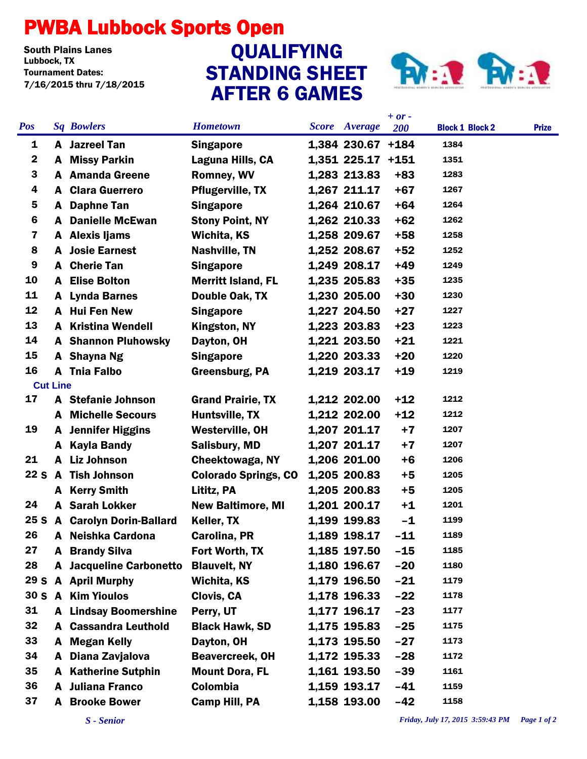## PWBA Lubbock Sports Open

South Plains Lanes<br>Lubbock. TX Tournament Dates: 7/16/2015 thru 7/18/2015

## STANDING SHEET AFTER 6 GAMES QUALIFYING



|                 |                 |                                |                             |                      | $+ or -$ |                        |              |
|-----------------|-----------------|--------------------------------|-----------------------------|----------------------|----------|------------------------|--------------|
| <b>Pos</b>      |                 | <b>Sq Bowlers</b>              | <b>Hometown</b>             | <b>Score</b> Average | 200      | <b>Block 1 Block 2</b> | <b>Prize</b> |
| 1               |                 | <b>A</b> Jazreel Tan           | <b>Singapore</b>            | 1,384 230.67 +184    |          | 1384                   |              |
| $\mathbf{2}$    |                 | A Missy Parkin                 | Laguna Hills, CA            | 1,351 225.17 +151    |          | 1351                   |              |
| 3               |                 | <b>A</b> Amanda Greene         | <b>Romney, WV</b>           | 1,283 213.83         | $+83$    | 1283                   |              |
| 4               |                 | <b>A</b> Clara Guerrero        | <b>Pflugerville, TX</b>     | 1,267 211.17         | $+67$    | 1267                   |              |
| 5               | A               | <b>Daphne Tan</b>              | <b>Singapore</b>            | 1,264 210.67         | $+64$    | 1264                   |              |
| 6               | A               | <b>Danielle McEwan</b>         | <b>Stony Point, NY</b>      | 1,262 210.33         | $+62$    | 1262                   |              |
| 7               |                 | A Alexis Ijams                 | Wichita, KS                 | 1,258 209.67         | $+58$    | 1258                   |              |
| 8               | A               | <b>Josie Earnest</b>           | <b>Nashville, TN</b>        | 1,252 208.67         | $+52$    | 1252                   |              |
| 9               |                 | A Cherie Tan                   | <b>Singapore</b>            | 1,249 208.17         | $+49$    | 1249                   |              |
| 10              |                 | <b>A</b> Elise Bolton          | <b>Merritt Island, FL</b>   | 1,235 205.83         | $+35$    | 1235                   |              |
| 11              |                 | A Lynda Barnes                 | Double Oak, TX              | 1,230 205.00         | $+30$    | 1230                   |              |
| 12              |                 | A Hui Fen New                  | <b>Singapore</b>            | 1,227 204.50         | $+27$    | 1227                   |              |
| 13              |                 | <b>A</b> Kristina Wendell      | Kingston, NY                | 1,223 203.83         | $+23$    | 1223                   |              |
| 14              |                 | <b>A</b> Shannon Pluhowsky     | Dayton, OH                  | 1,221 203.50         | $+21$    | 1221                   |              |
| 15              |                 | A Shayna Ng                    | <b>Singapore</b>            | 1,220 203.33         | $+20$    | 1220                   |              |
| 16              |                 | A Tnia Falbo                   | <b>Greensburg, PA</b>       | 1,219 203.17         | $+19$    | 1219                   |              |
|                 | <b>Cut Line</b> |                                |                             |                      |          |                        |              |
| 17              |                 | A Stefanie Johnson             | <b>Grand Prairie, TX</b>    | 1,212 202.00         | $+12$    | 1212                   |              |
|                 |                 | <b>A</b> Michelle Secours      | Huntsville, TX              | 1,212 202.00         | $+12$    | 1212                   |              |
| 19              |                 | <b>A</b> Jennifer Higgins      | <b>Westerville, OH</b>      | 1,207 201.17         | $+7$     | 1207                   |              |
|                 | A               | <b>Kayla Bandy</b>             | <b>Salisbury, MD</b>        | 1,207 201.17         | $+7$     | 1207                   |              |
| 21              |                 | A Liz Johnson                  | Cheektowaga, NY             | 1,206 201.00         | $+6$     | 1206                   |              |
| 22S             |                 | <b>A</b> Tish Johnson          | <b>Colorado Springs, CO</b> | 1,205 200.83         | +5       | 1205                   |              |
|                 |                 | A Kerry Smith                  | Lititz, PA                  | 1,205 200.83         | $+5$     | 1205                   |              |
| 24              |                 | <b>A</b> Sarah Lokker          | <b>New Baltimore, MI</b>    | 1,201 200.17         | $+1$     | 1201                   |              |
| 25 <sub>S</sub> |                 | <b>A</b> Carolyn Dorin-Ballard | Keller, TX                  | 1,199 199.83         | $-1$     | 1199                   |              |
| 26              | A               | Neishka Cardona                | Carolina, PR                | 1,189 198.17         | $-11$    | 1189                   |              |
| 27              |                 | <b>A</b> Brandy Silva          | Fort Worth, TX              | 1,185 197.50         | $-15$    | 1185                   |              |
| 28              |                 | <b>A</b> Jacqueline Carbonetto | <b>Blauvelt, NY</b>         | 1,180 196.67         | $-20$    | 1180                   |              |
|                 |                 | 29 S A April Murphy            | Wichita, KS                 | 1,179 196.50         | $-21$    | 1179                   |              |
|                 |                 | 30 S A Kim Yioulos             | Clovis, CA                  | 1,178 196.33         | $-22$    | 1178                   |              |
| 31              |                 | <b>A</b> Lindsay Boomershine   | Perry, UT                   | 1,177 196.17         | $-23$    | 1177                   |              |
| 32              |                 | <b>A</b> Cassandra Leuthold    | <b>Black Hawk, SD</b>       | 1,175 195.83         | $-25$    | 1175                   |              |
| 33              | A               | <b>Megan Kelly</b>             | Dayton, OH                  | 1,173 195.50         | $-27$    | 1173                   |              |
| 34              | A               | Diana Zavjalova                | <b>Beavercreek, OH</b>      | 1,172 195.33         | $-28$    | 1172                   |              |
| 35              |                 | <b>A</b> Katherine Sutphin     | <b>Mount Dora, FL</b>       | 1,161 193.50         | $-39$    | 1161                   |              |
| 36              |                 | <b>A</b> Juliana Franco        | Colombia                    | 1,159 193.17         | $-41$    | 1159                   |              |
| 37              |                 | A Brooke Bower                 | <b>Camp Hill, PA</b>        | 1,158 193.00         | $-42$    | 1158                   |              |